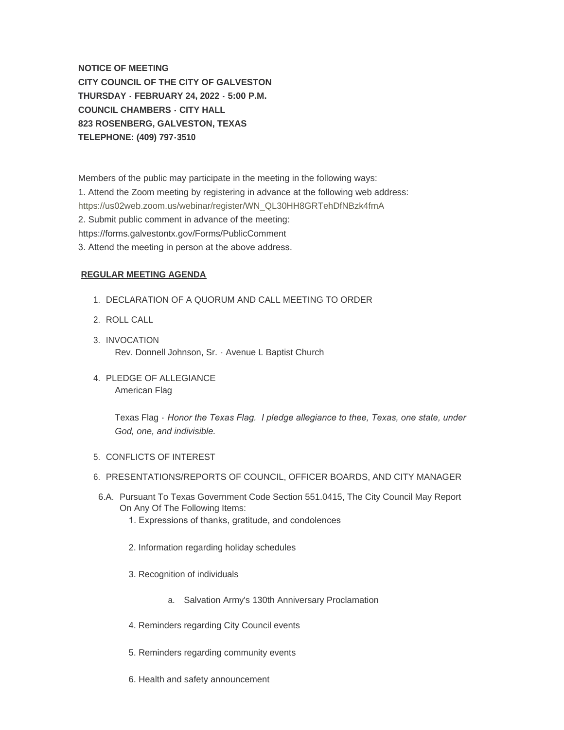**NOTICE OF MEETING CITY COUNCIL OF THE CITY OF GALVESTON THURSDAY - FEBRUARY 24, 2022 - 5:00 P.M. COUNCIL CHAMBERS - CITY HALL 823 ROSENBERG, GALVESTON, TEXAS TELEPHONE: (409) 797-3510**

Members of the public may participate in the meeting in the following ways: [1. Attend the Zoom meeting by registering in advance at the following web add](https://us02web.zoom.us/webinar/register/WN_QL30HH8GRTehDfNBzk4fmA)ress: https://us02web.zoom.us/webinar/register/WN\_QL30HH8GRTehDfNBzk4fmA 2. Submit public comment in advance of the meeting: https://forms.galvestontx.gov/Forms/PublicComment

3. Attend the meeting in person at the above address.

# **REGULAR MEETING AGENDA**

- 1. DECLARATION OF A QUORUM AND CALL MEETING TO ORDER
- 2. ROLL CALL
- 3. INVOCATION Rev. Donnell Johnson, Sr. - Avenue L Baptist Church
- 4. PLEDGE OF ALLEGIANCE American Flag

Texas Flag - *Honor the Texas Flag. I pledge allegiance to thee, Texas, one state, under God, one, and indivisible.*

- 5. CONFLICTS OF INTEREST
- 6. PRESENTATIONS/REPORTS OF COUNCIL, OFFICER BOARDS, AND CITY MANAGER
- 6.A. Pursuant To Texas Government Code Section 551.0415, The City Council May Report On Any Of The Following Items:
	- 1. Expressions of thanks, gratitude, and condolences
	- 2. Information regarding holiday schedules
	- 3. Recognition of individuals
		- a. Salvation Army's 130th Anniversary Proclamation
	- 4. Reminders regarding City Council events
	- 5. Reminders regarding community events
	- 6. Health and safety announcement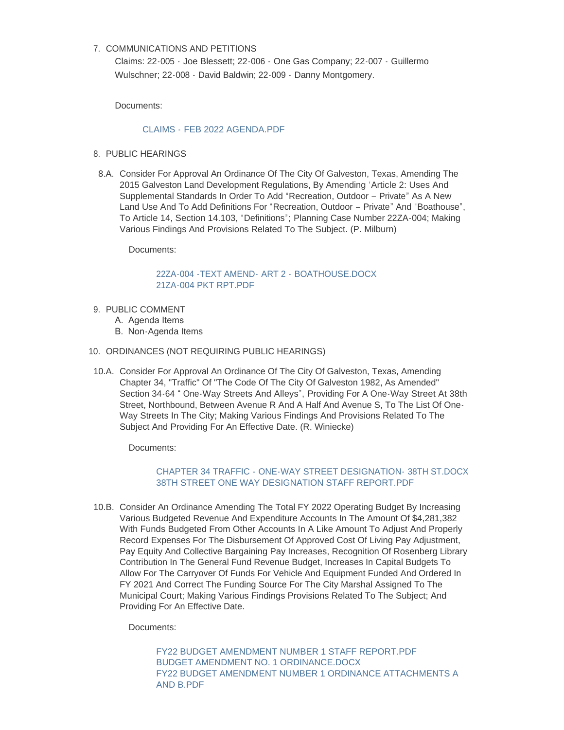# 7. COMMUNICATIONS AND PETITIONS

Claims: 22-005 - Joe Blessett; 22-006 - One Gas Company; 22-007 - Guillermo Wulschner; 22-008 - David Baldwin; 22-009 - Danny Montgomery.

Documents:

# CLAIMS - [FEB 2022 AGENDA.PDF](https://www.galvestontx.gov/AgendaCenter/ViewFile/Item/13755?fileID=32189)

- 8. PUBLIC HEARINGS
- 8.A. Consider For Approval An Ordinance Of The City Of Galveston, Texas, Amending The 2015 Galveston Land Development Regulations, By Amending 'Article 2: Uses And Supplemental Standards In Order To Add "Recreation, Outdoor – Private" As A New Land Use And To Add Definitions For "Recreation, Outdoor – Private" And "Boathouse", To Article 14, Section 14.103, "Definitions"; Planning Case Number 22ZA-004; Making Various Findings And Provisions Related To The Subject. (P. Milburn)

Documents:

[22ZA-004 -TEXT AMEND-](https://www.galvestontx.gov/AgendaCenter/ViewFile/Item/13728?fileID=32160) ART 2 - BOATHOUSE.DOCX [21ZA-004 PKT RPT.PDF](https://www.galvestontx.gov/AgendaCenter/ViewFile/Item/13728?fileID=32183)

- 9. PUBLIC COMMENT
	- A. Agenda Items
	- B. Non-Agenda Items
- 10. ORDINANCES (NOT REQUIRING PUBLIC HEARINGS)
- 10.A. Consider For Approval An Ordinance Of The City Of Galveston, Texas, Amending Chapter 34, "Traffic" Of "The Code Of The City Of Galveston 1982, As Amended" Section 34-64 " One-Way Streets And Alleys", Providing For A One-Way Street At 38th Street, Northbound, Between Avenue R And A Half And Avenue S, To The List Of One-Way Streets In The City; Making Various Findings And Provisions Related To The Subject And Providing For An Effective Date. (R. Winiecke)

Documents:

# CHAPTER 34 TRAFFIC - [ONE-WAY STREET DESIGNATION-](https://www.galvestontx.gov/AgendaCenter/ViewFile/Item/13724?fileID=32168) 38TH ST.DOCX [38TH STREET ONE WAY DESIGNATION STAFF REPORT.PDF](https://www.galvestontx.gov/AgendaCenter/ViewFile/Item/13724?fileID=32149)

10.B. Consider An Ordinance Amending The Total FY 2022 Operating Budget By Increasing Various Budgeted Revenue And Expenditure Accounts In The Amount Of \$4,281,382 With Funds Budgeted From Other Accounts In A Like Amount To Adjust And Properly Record Expenses For The Disbursement Of Approved Cost Of Living Pay Adjustment, Pay Equity And Collective Bargaining Pay Increases, Recognition Of Rosenberg Library Contribution In The General Fund Revenue Budget, Increases In Capital Budgets To Allow For The Carryover Of Funds For Vehicle And Equipment Funded And Ordered In FY 2021 And Correct The Funding Source For The City Marshal Assigned To The Municipal Court; Making Various Findings Provisions Related To The Subject; And Providing For An Effective Date.

Documents:

[FY22 BUDGET AMENDMENT NUMBER 1 STAFF REPORT.PDF](https://www.galvestontx.gov/AgendaCenter/ViewFile/Item/13727?fileID=32154) [BUDGET AMENDMENT NO. 1 ORDINANCE.DOCX](https://www.galvestontx.gov/AgendaCenter/ViewFile/Item/13727?fileID=32155) [FY22 BUDGET AMENDMENT NUMBER 1 ORDINANCE ATTACHMENTS A](https://www.galvestontx.gov/AgendaCenter/ViewFile/Item/13727?fileID=32156)  AND B.PDF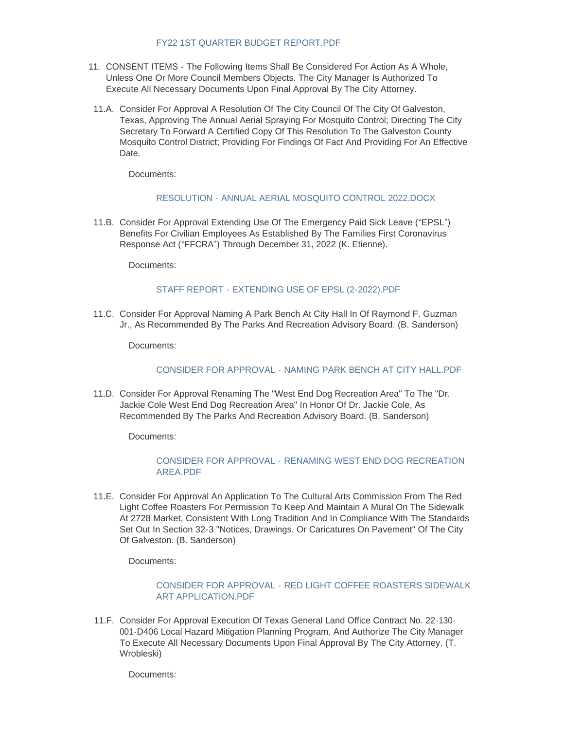# [FY22 1ST QUARTER BUDGET REPORT.PDF](https://www.galvestontx.gov/AgendaCenter/ViewFile/Item/13727?fileID=32157)

- 11. CONSENT ITEMS The Following Items Shall Be Considered For Action As A Whole, Unless One Or More Council Members Objects. The City Manager Is Authorized To Execute All Necessary Documents Upon Final Approval By The City Attorney.
- 11.A. Consider For Approval A Resolution Of The City Council Of The City Of Galveston, Texas, Approving The Annual Aerial Spraying For Mosquito Control; Directing The City Secretary To Forward A Certified Copy Of This Resolution To The Galveston County Mosquito Control District; Providing For Findings Of Fact And Providing For An Effective Date.

Documents:

# RESOLUTION - [ANNUAL AERIAL MOSQUITO CONTROL 2022.DOCX](https://www.galvestontx.gov/AgendaCenter/ViewFile/Item/13708?fileID=32072)

11.B. Consider For Approval Extending Use Of The Emergency Paid Sick Leave ("EPSL") Benefits For Civilian Employees As Established By The Families First Coronavirus Response Act ("FFCRA") Through December 31, 2022 (K. Etienne).

Documents:

#### STAFF REPORT - [EXTENDING USE OF EPSL \(2-2022\).PDF](https://www.galvestontx.gov/AgendaCenter/ViewFile/Item/13723?fileID=32148)

11.C. Consider For Approval Naming A Park Bench At City Hall In Of Raymond F. Guzman Jr., As Recommended By The Parks And Recreation Advisory Board. (B. Sanderson)

Documents:

#### CONSIDER FOR APPROVAL - [NAMING PARK BENCH AT CITY HALL.PDF](https://www.galvestontx.gov/AgendaCenter/ViewFile/Item/13712?fileID=32076)

11.D. Consider For Approval Renaming The "West End Dog Recreation Area" To The "Dr. Jackie Cole West End Dog Recreation Area" In Honor Of Dr. Jackie Cole, As Recommended By The Parks And Recreation Advisory Board. (B. Sanderson)

Documents:

# CONSIDER FOR APPROVAL - [RENAMING WEST END DOG RECREATION](https://www.galvestontx.gov/AgendaCenter/ViewFile/Item/13711?fileID=32075)  AREA.PDF

11.E. Consider For Approval An Application To The Cultural Arts Commission From The Red Light Coffee Roasters For Permission To Keep And Maintain A Mural On The Sidewalk At 2728 Market, Consistent With Long Tradition And In Compliance With The Standards Set Out In Section 32-3 "Notices, Drawings, Or Caricatures On Pavement" Of The City Of Galveston. (B. Sanderson)

Documents:

# CONSIDER FOR APPROVAL - [RED LIGHT COFFEE ROASTERS SIDEWALK](https://www.galvestontx.gov/AgendaCenter/ViewFile/Item/13710?fileID=32074)  ART APPLICATION.PDF

11.F. Consider For Approval Execution Of Texas General Land Office Contract No. 22-130-001-D406 Local Hazard Mitigation Planning Program, And Authorize The City Manager To Execute All Necessary Documents Upon Final Approval By The City Attorney. (T. Wrobleski)

Documents: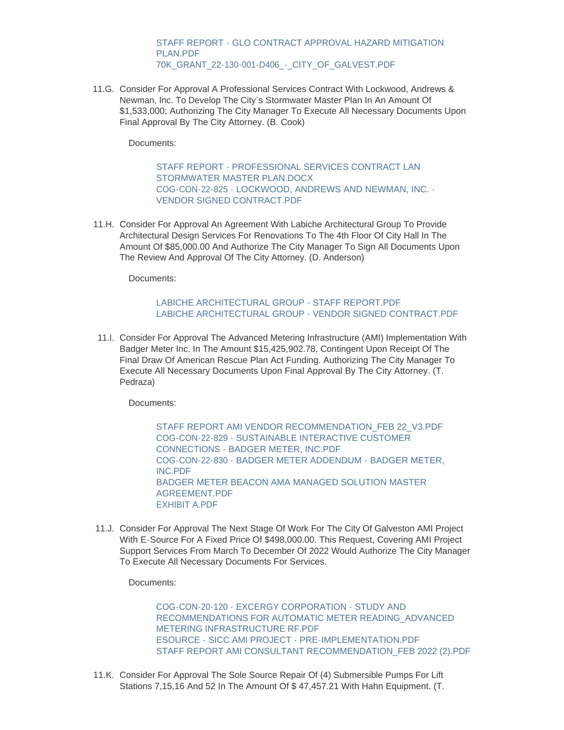STAFF REPORT - [GLO CONTRACT APPROVAL HAZARD MITIGATION](https://www.galvestontx.gov/AgendaCenter/ViewFile/Item/13713?fileID=32077)  PLAN PDF [70K\\_GRANT\\_22-130-001-D406\\_-\\_CITY\\_OF\\_GALVEST.PDF](https://www.galvestontx.gov/AgendaCenter/ViewFile/Item/13713?fileID=32078)

11.G. Consider For Approval A Professional Services Contract With Lockwood, Andrews & Newman, Inc. To Develop The City's Stormwater Master Plan In An Amount Of \$1,533,000; Authorizing The City Manager To Execute All Necessary Documents Upon Final Approval By The City Attorney. (B. Cook)

Documents:

[STAFF REPORT - PROFESSIONAL SERVICES CONTRACT LAN](https://www.galvestontx.gov/AgendaCenter/ViewFile/Item/13714?fileID=32108)  STORMWATER MASTER PLAN.DOCX [COG-CON-22-825 - LOCKWOOD, ANDREWS AND NEWMAN, INC. -](https://www.galvestontx.gov/AgendaCenter/ViewFile/Item/13714?fileID=32109) VENDOR SIGNED CONTRACT.PDF

11.H. Consider For Approval An Agreement With Labiche Architectural Group To Provide Architectural Design Services For Renovations To The 4th Floor Of City Hall In The Amount Of \$85,000.00 And Authorize The City Manager To Sign All Documents Upon The Review And Approval Of The City Attorney. (D. Anderson)

Documents:

#### LABICHE ARCHITECTURAL GROUP - STAFF REPORT PDF [LABICHE ARCHITECTURAL GROUP - VENDOR SIGNED CONTRACT.PDF](https://www.galvestontx.gov/AgendaCenter/ViewFile/Item/13705?fileID=32152)

11.I. Consider For Approval The Advanced Metering Infrastructure (AMI) Implementation With Badger Meter Inc. In The Amount \$15,425,902.78, Contingent Upon Receipt Of The Final Draw Of American Rescue Plan Act Funding. Authorizing The City Manager To Execute All Necessary Documents Upon Final Approval By The City Attorney. (T. Pedraza)

Documents:

STAFF REPORT AMI VENDOR RECOMMENDATION FEB 22 V3.PDF [COG-CON-22-829 - SUSTAINABLE INTERACTIVE CUSTOMER](https://www.galvestontx.gov/AgendaCenter/ViewFile/Item/13765?fileID=32186)  CONNECTIONS - BADGER METER, INC.PDF [COG-CON-22-830 - BADGER METER ADDENDUM - BADGER METER,](https://www.galvestontx.gov/AgendaCenter/ViewFile/Item/13765?fileID=32187)  INC.PDF [BADGER METER BEACON AMA MANAGED SOLUTION MASTER](https://www.galvestontx.gov/AgendaCenter/ViewFile/Item/13765?fileID=32188)  AGREEMENT.PDF [EXHIBIT A.PDF](https://www.galvestontx.gov/AgendaCenter/ViewFile/Item/13765?fileID=32175)

11.J. Consider For Approval The Next Stage Of Work For The City Of Galveston AMI Project With E-Source For A Fixed Price Of \$498,000.00. This Request, Covering AMI Project Support Services From March To December Of 2022 Would Authorize The City Manager To Execute All Necessary Documents For Services.

Documents:

COG-CON-20-120 - EXCERGY CORPORATION - STUDY AND [RECOMMENDATIONS FOR AUTOMATIC METER READING\\_ADVANCED](https://www.galvestontx.gov/AgendaCenter/ViewFile/Item/13722?fileID=32159)  METERING INFRASTRUCTURE RF.PDF [ESOURCE - SICC AMI PROJECT - PRE-IMPLEMENTATION.PDF](https://www.galvestontx.gov/AgendaCenter/ViewFile/Item/13722?fileID=32161) [STAFF REPORT AMI CONSULTANT RECOMMENDATION\\_FEB 2022 \(2\).PDF](https://www.galvestontx.gov/AgendaCenter/ViewFile/Item/13722?fileID=32166)

11.K. Consider For Approval The Sole Source Repair Of (4) Submersible Pumps For Lift Stations 7,15,16 And 52 In The Amount Of \$ 47,457.21 With Hahn Equipment. (T.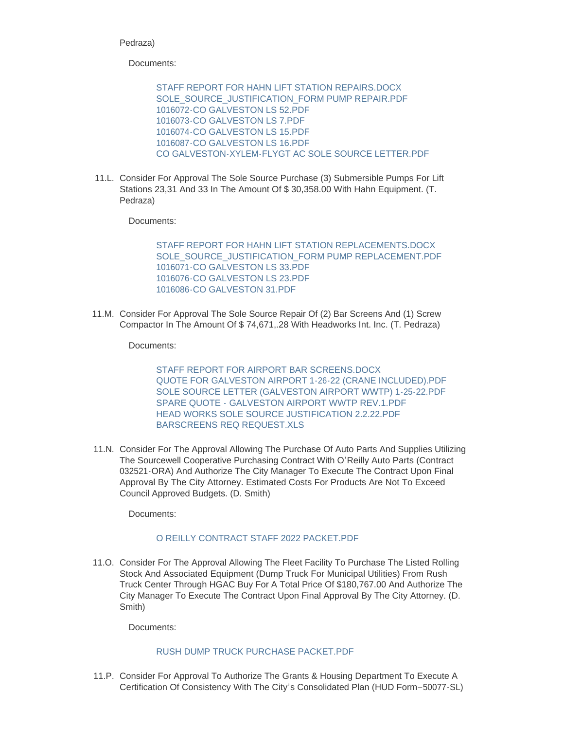# Pedraza)

Documents:

[STAFF REPORT FOR HAHN LIFT STATION REPAIRS.DOCX](https://www.galvestontx.gov/AgendaCenter/ViewFile/Item/13719?fileID=32115) [SOLE\\_SOURCE\\_JUSTIFICATION\\_FORM PUMP REPAIR.PDF](https://www.galvestontx.gov/AgendaCenter/ViewFile/Item/13719?fileID=32116) [1016072-CO GALVESTON LS 52.PDF](https://www.galvestontx.gov/AgendaCenter/ViewFile/Item/13719?fileID=32117) [1016073-CO GALVESTON LS 7.PDF](https://www.galvestontx.gov/AgendaCenter/ViewFile/Item/13719?fileID=32118) [1016074-CO GALVESTON LS 15.PDF](https://www.galvestontx.gov/AgendaCenter/ViewFile/Item/13719?fileID=32119) [1016087-CO GALVESTON LS 16.PDF](https://www.galvestontx.gov/AgendaCenter/ViewFile/Item/13719?fileID=32120) [CO GALVESTON-XYLEM-FLYGT AC SOLE SOURCE LETTER.PDF](https://www.galvestontx.gov/AgendaCenter/ViewFile/Item/13719?fileID=32162)

11.L. Consider For Approval The Sole Source Purchase (3) Submersible Pumps For Lift Stations 23,31 And 33 In The Amount Of \$ 30,358.00 With Hahn Equipment. (T. Pedraza)

Documents:

[STAFF REPORT FOR HAHN LIFT STATION REPLACEMENTS.DOCX](https://www.galvestontx.gov/AgendaCenter/ViewFile/Item/13720?fileID=32122) [SOLE\\_SOURCE\\_JUSTIFICATION\\_FORM PUMP REPLACEMENT.PDF](https://www.galvestontx.gov/AgendaCenter/ViewFile/Item/13720?fileID=32123) [1016071-CO GALVESTON LS 33.PDF](https://www.galvestontx.gov/AgendaCenter/ViewFile/Item/13720?fileID=32124) [1016076-CO GALVESTON LS 23.PDF](https://www.galvestontx.gov/AgendaCenter/ViewFile/Item/13720?fileID=32125) [1016086-CO GALVESTON 31.PDF](https://www.galvestontx.gov/AgendaCenter/ViewFile/Item/13720?fileID=32126)

11.M. Consider For Approval The Sole Source Repair Of (2) Bar Screens And (1) Screw Compactor In The Amount Of \$ 74,671,.28 With Headworks Int. Inc. (T. Pedraza)

Documents:

[STAFF REPORT FOR AIRPORT BAR SCREENS.DOCX](https://www.galvestontx.gov/AgendaCenter/ViewFile/Item/13721?fileID=32127) [QUOTE FOR GALVESTON AIRPORT 1-26-22 \(CRANE INCLUDED\).PDF](https://www.galvestontx.gov/AgendaCenter/ViewFile/Item/13721?fileID=32128) [SOLE SOURCE LETTER \(GALVESTON AIRPORT WWTP\) 1-25-22.PDF](https://www.galvestontx.gov/AgendaCenter/ViewFile/Item/13721?fileID=32129) [SPARE QUOTE - GALVESTON AIRPORT WWTP REV.1.PDF](https://www.galvestontx.gov/AgendaCenter/ViewFile/Item/13721?fileID=32130) [HEAD WORKS SOLE SOURCE JUSTIFICATION 2.2.22.PDF](https://www.galvestontx.gov/AgendaCenter/ViewFile/Item/13721?fileID=32131) [BARSCREENS REQ REQUEST.XLS](https://www.galvestontx.gov/AgendaCenter/ViewFile/Item/13721?fileID=32132)

11.N. Consider For The Approval Allowing The Purchase Of Auto Parts And Supplies Utilizing The Sourcewell Cooperative Purchasing Contract With O'Reilly Auto Parts (Contract 032521-ORA) And Authorize The City Manager To Execute The Contract Upon Final Approval By The City Attorney. Estimated Costs For Products Are Not To Exceed Council Approved Budgets. (D. Smith)

Documents:

# [O REILLY CONTRACT STAFF 2022 PACKET.PDF](https://www.galvestontx.gov/AgendaCenter/ViewFile/Item/13717?fileID=32113)

11.O. Consider For The Approval Allowing The Fleet Facility To Purchase The Listed Rolling Stock And Associated Equipment (Dump Truck For Municipal Utilities) From Rush Truck Center Through HGAC Buy For A Total Price Of \$180,767.00 And Authorize The City Manager To Execute The Contract Upon Final Approval By The City Attorney. (D. Smith)

Documents:

# [RUSH DUMP TRUCK PURCHASE PACKET.PDF](https://www.galvestontx.gov/AgendaCenter/ViewFile/Item/13726?fileID=32151)

11.P. Consider For Approval To Authorize The Grants & Housing Department To Execute A Certification Of Consistency With The City's Consolidated Plan (HUD Form–50077-SL)